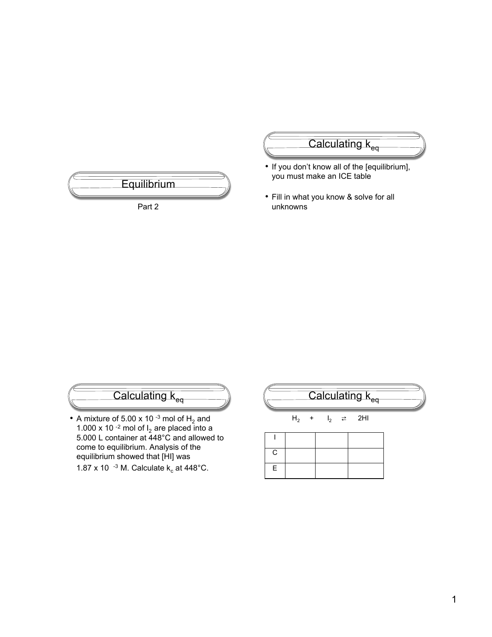

Part 2

### Calculating  $k_{\text{eq}}$

- If you don't know all of the [equilibrium], you must make an ICE table
- Fill in what you know & solve for all unknowns

# $\overline{\text{Calculating } \text{k}_{\text{eq}}}$

• A mixture of 5.00 x 10  $-3$  mol of H<sub>2</sub> and 1.000 x 10 $^{-2}$  mol of  $I_2$  are placed into a 5.000 L container at 448°C and allowed to come to equilibrium. Analysis of the equilibrium showed that [HI] was 1.87 x 10 $^{-3}$  M. Calculate  $k_c$  at 448°C.

# Calculating  $k_{eq}$

 $H_2$  +  $I_2$   $\rightleftarrows$  2HI

| C. |  |  |
|----|--|--|
| E  |  |  |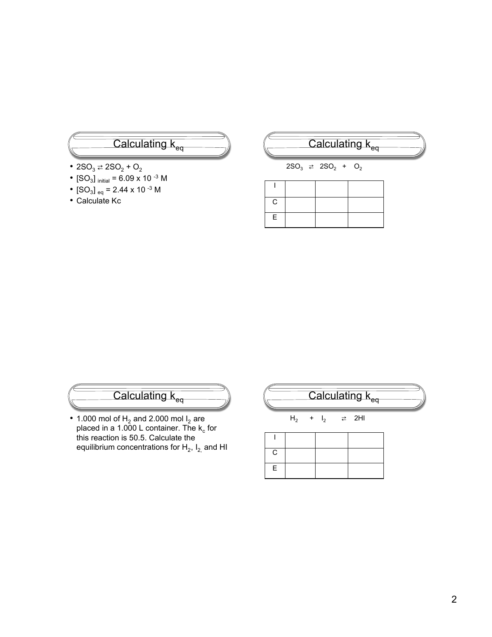# Calculating  $k_{eq}$

- $2SO_3 \rightleftarrows 2SO_2 + O_2$
- $[SO_3]_{initial} = 6.09 \times 10^{-3}$  M
- $[SO_3]_{eq}$  = 2.44 x 10 <sup>-3</sup> M
- Calculate Kc

## Calculating  $k_{\text{en}}$

 $2SO_3 \neq 2SO_2 + O_2$ 

| C |  |  |
|---|--|--|
| E |  |  |

# Calculating  $k_{eq}$

• 1.000 mol of  $H_2$  and 2.000 mol  $I_2$  are placed in a 1.000 L container. The  $k_c$  for this reaction is 50.5. Calculate the equilibrium concentrations for  $H_2$ ,  $I_2$  and HI  $\overline{\text{Calculating }k_{\text{eq}}}$ 

 $H_2$  +  $I_2$   $\rightleftarrows$  2HI

| C  |  |  |
|----|--|--|
| E. |  |  |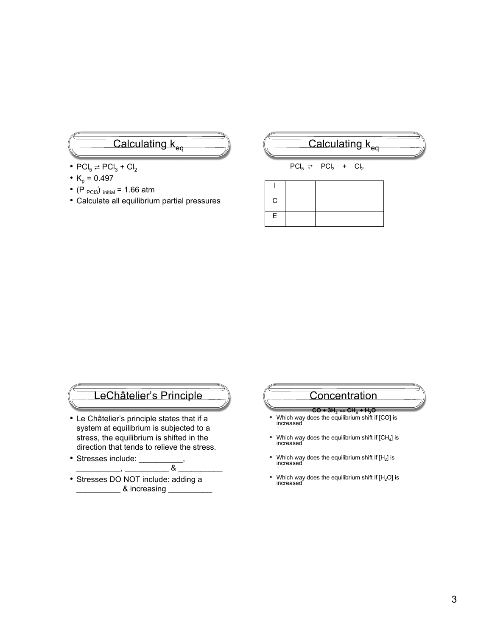## Calculating  $k_{\text{ee}}$

•  $\text{PCI}_5 \rightleftarrows \text{PCI}_3 + \text{Cl}_2$ 

•  $K_p = 0.497$ 

- (P  $_{PCI3}$ ) initial = 1.66 atm
- Calculate
all
equilibrium
partial
pressures

#### Calculating  $k_{e}$

 $\text{PCI}_5 \rightleftarrows \text{PCI}_3 + \text{Cl}_2$ 

| -<br>C |  |  |
|--------|--|--|
| E      |  |  |

### LeChâtelier's Principle

- Le Châtelier's principle states that if a system at equilibrium is subjected to a stress, the equilibrium is shifted in the direction that tends to relieve the stress*.*
- Stresses include: \_
- $\sim$  . The contract of the contract of  $\sim$  . The contract of  $\sim$ • Stresses DO NOT include: adding a \_\_\_\_\_\_\_\_\_\_ & increasing \_\_\_\_\_\_\_\_\_\_



- Which way does the equilibrium shift if  $[CH<sub>4</sub>]$  is increased
- Which way does the equilibrium shift if  $[H_2]$  is increased
- Which way does the equilibrium shift if  $[H_2O]$  is increased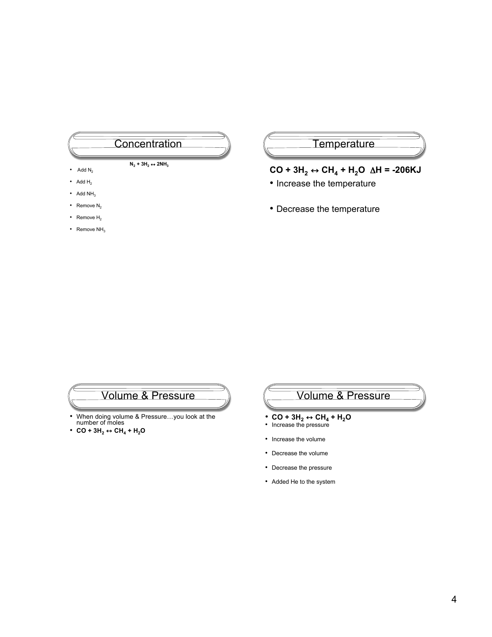#### **Concentration**

 $N_2$  + 3H<sub>2</sub>  $\leftrightarrow$  2NH<sub>3</sub>

- Add  $N_2$ • Add  $H_2$
- Add  $NH<sub>3</sub>$
- Remove  $N_2$
- Remove  $H_2$
- Remove  $NH<sub>3</sub>$

#### **Temperature**

 $CO + 3H_2 \leftrightarrow CH_4 + H_2O \Delta H = -206 \text{KJ}$ 

- Increase the temperature
- Decrease the temperature

## Volume & Pressure

- When doing volume & Pressure…you look at the number of moles
- $\cdot$  CO + 3H<sub>2</sub>  $\leftrightarrow$  CH<sub>4</sub> + H<sub>2</sub>O

#### Volume & Pressure

- $CO + 3H_2 \leftrightarrow CH_4 + H_2O$ <br>• Increase the pressure
- Increase the volume
- Decrease the volume
- Decrease the pressure
- Added He to the system